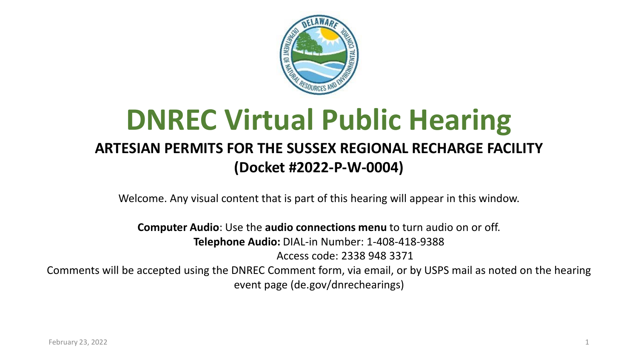

#### **DNREC Virtual Public Hearing ARTESIAN PERMITS FOR THE SUSSEX REGIONAL RECHARGE FACILITY (Docket #2022-P-W-0004)**

Welcome. Any visual content that is part of this hearing will appear in this window.

**Computer Audio**: Use the **audio connections menu** to turn audio on or off. **Telephone Audio:** DIAL-in Number: 1-408-418-9388 Access code: 2338 948 3371 Comments will be accepted using the DNREC Comment form, via email, or by USPS mail as noted on the hearing event page (de.gov/dnrechearings)

February 23, 2022 2008 12: 2009 12: 2009 12: 2009 12: 2009 12: 2009 12: 2009 12: 2009 12: 2009 12: 2009 12: 20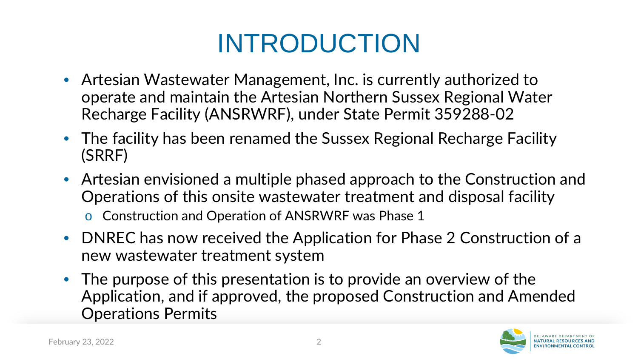## INTRODUCTION

- Artesian Wastewater Management, Inc. is currently authorized to operate and maintain the Artesian Northern Sussex Regional Water Recharge Facility (ANSRWRF), under State Permit 359288-02
- The facility has been renamed the Sussex Regional Recharge Facility (SRRF)
- Artesian envisioned a multiple phased approach to the Construction and Operations of this onsite wastewater treatment and disposal facility

o Construction and Operation of ANSRWRF was Phase 1

- DNREC has now received the Application for Phase 2 Construction of a new wastewater treatment system
- The purpose of this presentation is to provide an overview of the Application, and if approved, the proposed Construction and Amended Operations Permits

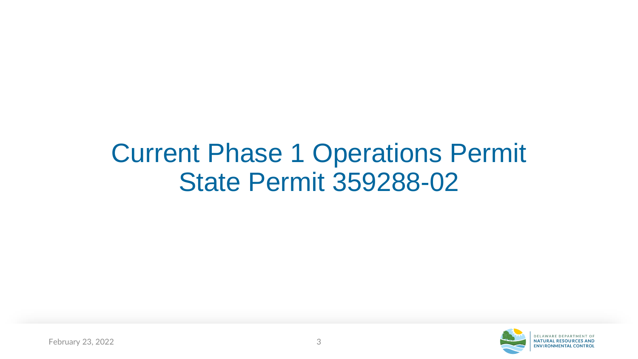#### Current Phase 1 Operations Permit State Permit 359288-02

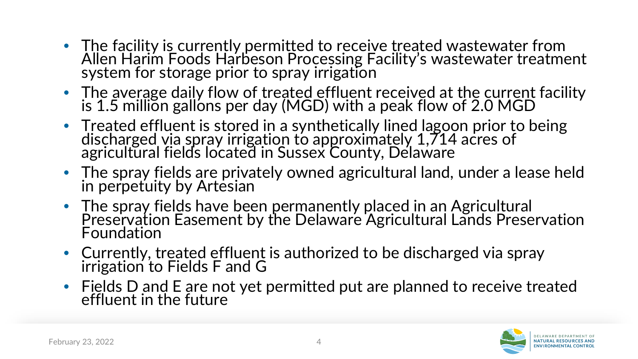- The facility is currently permitted to receive treated wastewater from Allen Harim Foods Harbeson Processing Facility's wastewater treatment system for storage prior to spray irrigation
- The average daily flow of treated effluent received at the current facility is 1.5 million gallons per day (MGD) with a peak flow of 2.0 MGD
- Treated effluent is stored in a synthetically lined lagoon prior to being discharged via spray irrigation to approximately 1,714 acres of agricultural fields located in Sussex County, Delaware
- The spray fields are privately owned agricultural land, under a lease held in perpetuity by Artesian
- The spray fields have been permanently placed in an Agricultural Preservation Easement by the Delaware Agricultural Lands Preservation Foundation
- Currently, treated effluent is authorized to be discharged via spray irrigation to Fields F and G
- Fields D and E are not yet permitted put are planned to receive treated effluent in the future

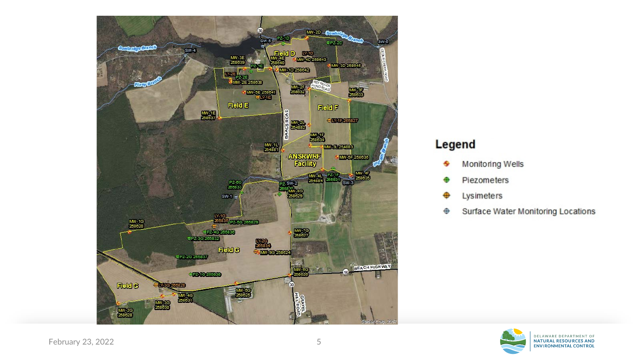

#### Legend

- Monitoring Wells
- Piezometers
- Lysimeters
- Surface Water Monitoring Locations ⊕

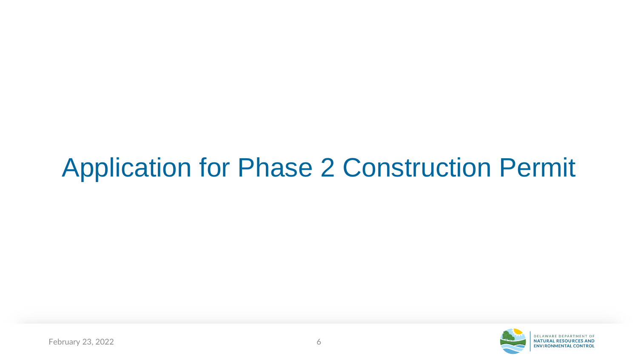#### Application for Phase 2 Construction Permit

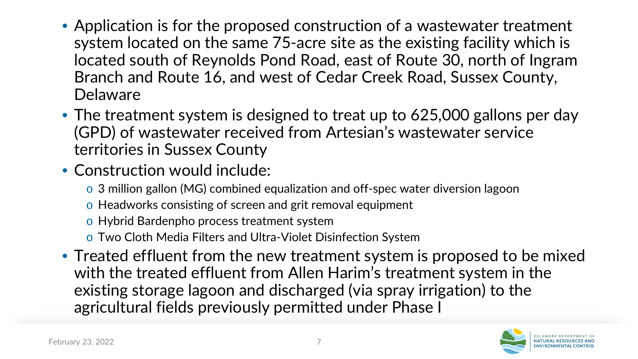- Application is for the proposed construction of a wastewater treatment system located on the same 75-acre site as the existing facility which is located south of Reynolds Pond Road, east of Route 30, north of Ingram Branch and Route 16, and west of Cedar Creek Road, Sussex County, Delaware
- The treatment system is designed to treat up to 625,000 gallons per day (GPD) of wastewater received from Artesian's wastewater service territories in Sussex County
- Construction would include:
	- o 3 million gallon (MG) combined equalization and off-spec water diversion lagoon
	- o Headworks consisting of screen and grit removal equipment
	- o Hybrid Bardenpho process treatment system
	- o Two Cloth Media Filters and Ultra-Violet Disinfection System
- Treated effluent from the new treatment system is proposed to be mixed with the treated effluent from Allen Harim's treatment system in the existing storage lagoon and discharged (via spray irrigation) to the agricultural fields previously permitted under Phase I

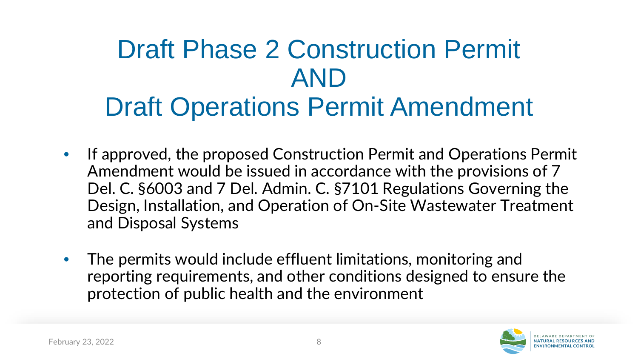#### Draft Phase 2 Construction Permit AND Draft Operations Permit Amendment

- If approved, the proposed Construction Permit and Operations Permit Amendment would be issued in accordance with the provisions of 7 Del. C. §6003 and 7 Del. Admin. C. §7101 Regulations Governing the Design, Installation, and Operation of On-Site Wastewater Treatment and Disposal Systems
- The permits would include effluent limitations, monitoring and reporting requirements, and other conditions designed to ensure the protection of public health and the environment

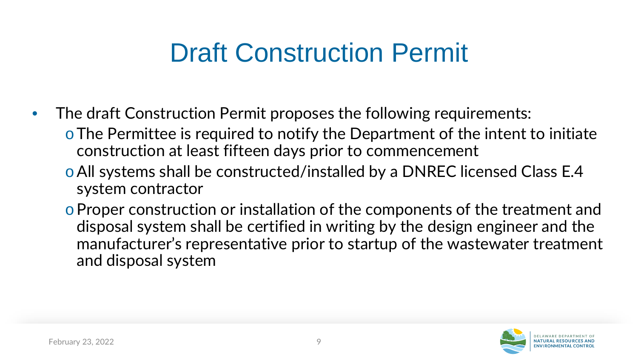#### Draft Construction Permit

- The draft Construction Permit proposes the following requirements:
	- oThe Permittee is required to notify the Department of the intent to initiate construction at least fifteen days prior to commencement
	- oAll systems shall be constructed/installed by a DNREC licensed Class E.4 system contractor
	- oProper construction or installation of the components of the treatment and disposal system shall be certified in writing by the design engineer and the manufacturer's representative prior to startup of the wastewater treatment and disposal system

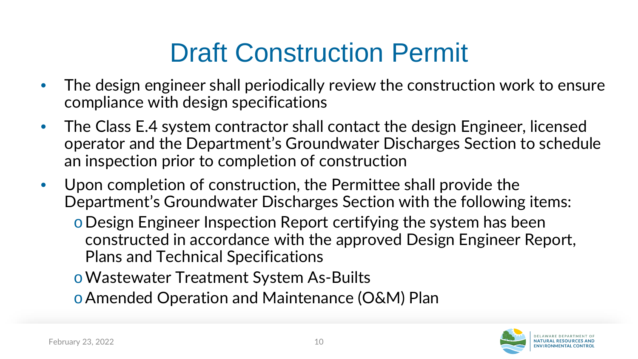#### Draft Construction Permit

- The design engineer shall periodically review the construction work to ensure compliance with design specifications
- The Class E.4 system contractor shall contact the design Engineer, licensed operator and the Department's Groundwater Discharges Section to schedule an inspection prior to completion of construction
- Upon completion of construction, the Permittee shall provide the Department's Groundwater Discharges Section with the following items:
	- oDesign Engineer Inspection Report certifying the system has been constructed in accordance with the approved Design Engineer Report, Plans and Technical Specifications
	- oWastewater Treatment System As-Builts

oAmended Operation and Maintenance (O&M) Plan

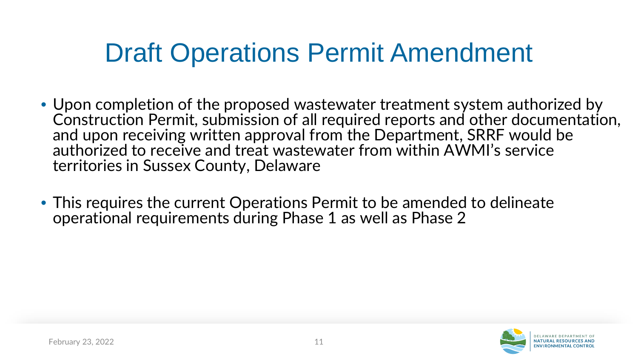- Upon completion of the proposed wastewater treatment system authorized by Construction Permit, submission of all required reports and other documentation, and upon receiving written approval from the Department, SRRF would be authorized to receive and treat wastewater from within AWMI's service territories in Sussex County, Delaware
- This requires the current Operations Permit to be amended to delineate operational requirements during Phase 1 as well as Phase 2

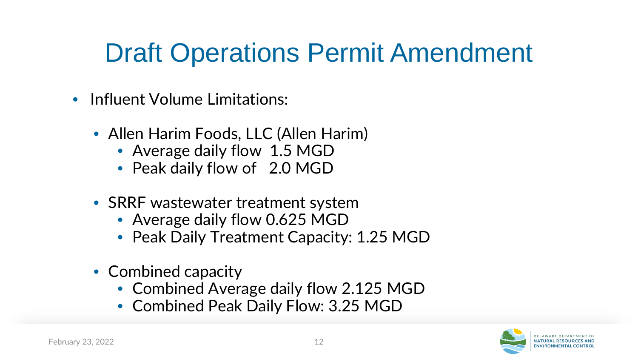- Influent Volume Limitations:
	- Allen Harim Foods, LLC (Allen Harim)
		- Average daily flow 1.5 MGD
		- Peak daily flow of 2.0 MGD
	- SRRF wastewater treatment system
		- Average daily flow 0.625 MGD
		- Peak Daily Treatment Capacity: 1.25 MGD
	- Combined capacity
		- Combined Average daily flow 2.125 MGD
		- Combined Peak Daily Flow: 3.25 MGD

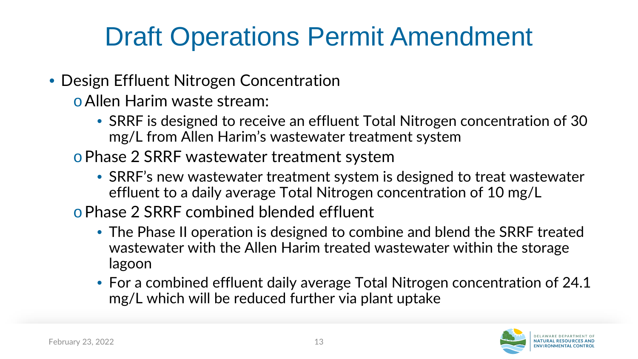- Design Effluent Nitrogen Concentration
	- oAllen Harim waste stream:
		- SRRF is designed to receive an effluent Total Nitrogen concentration of 30 mg/L from Allen Harim's wastewater treatment system
	- oPhase 2 SRRF wastewater treatment system
		- SRRF's new wastewater treatment system is designed to treat wastewater effluent to a daily average Total Nitrogen concentration of 10 mg/L
	- oPhase 2 SRRF combined blended effluent
		- The Phase II operation is designed to combine and blend the SRRF treated wastewater with the Allen Harim treated wastewater within the storage lagoon
		- For a combined effluent daily average Total Nitrogen concentration of 24.1 mg/L which will be reduced further via plant uptake

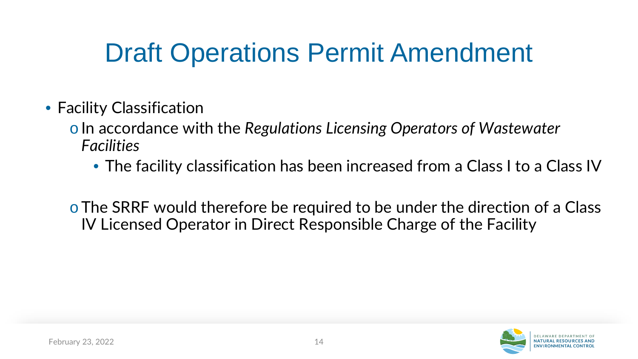- Facility Classification
	- oIn accordance with the *Regulations Licensing Operators of Wastewater Facilities*
		- The facility classification has been increased from a Class I to a Class IV
	- oThe SRRF would therefore be required to be under the direction of a Class IV Licensed Operator in Direct Responsible Charge of the Facility

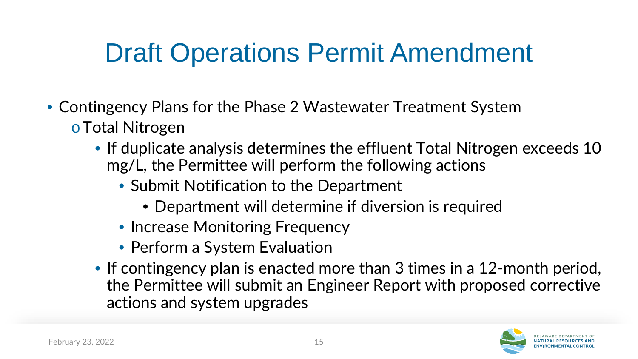- Contingency Plans for the Phase 2 Wastewater Treatment System oTotal Nitrogen
	- If duplicate analysis determines the effluent Total Nitrogen exceeds 10 mg/L, the Permittee will perform the following actions
		- Submit Notification to the Department
			- Department will determine if diversion is required
		- Increase Monitoring Frequency
		- Perform a System Evaluation
	- If contingency plan is enacted more than 3 times in a 12-month period, the Permittee will submit an Engineer Report with proposed corrective actions and system upgrades

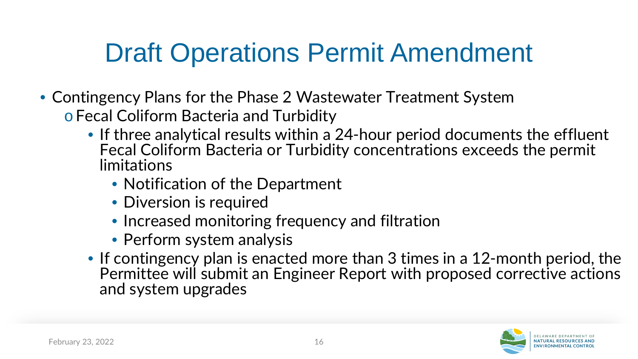- Contingency Plans for the Phase 2 Wastewater Treatment System
	- o Fecal Coliform Bacteria and Turbidity
		- If three analytical results within a 24-hour period documents the effluent Fecal Coliform Bacteria or Turbidity concentrations exceeds the permit limitations
			- Notification of the Department
			- Diversion is required
			- Increased monitoring frequency and filtration
			- Perform system analysis
		- If contingency plan is enacted more than 3 times in a 12-month period, the Permittee will submit an Engineer Report with proposed corrective actions and system upgrades

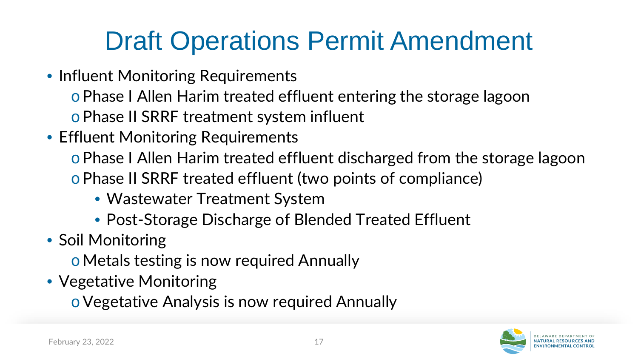- Influent Monitoring Requirements
	- o Phase I Allen Harim treated effluent entering the storage lagoon

o Phase II SRRF treatment system influent

- Effluent Monitoring Requirements
	- o Phase I Allen Harim treated effluent discharged from the storage lagoon o Phase II SRRF treated effluent (two points of compliance)
		- Wastewater Treatment System
		- Post-Storage Discharge of Blended Treated Effluent
- Soil Monitoring
	- oMetals testing is now required Annually
- Vegetative Monitoring
	- oVegetative Analysis is now required Annually

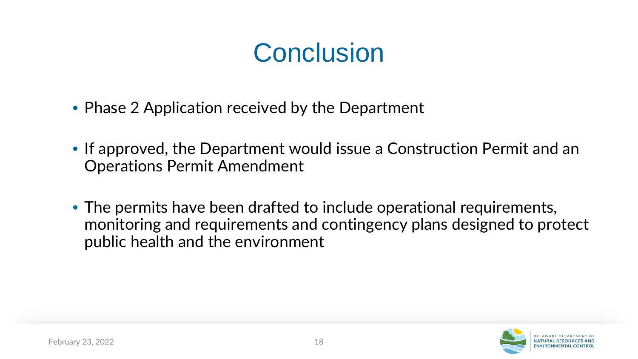#### **Conclusion**

- Phase 2 Application received by the Department
- If approved, the Department would issue a Construction Permit and an Operations Permit Amendment
- The permits have been drafted to include operational requirements, monitoring and requirements and contingency plans designed to protect public health and the environment

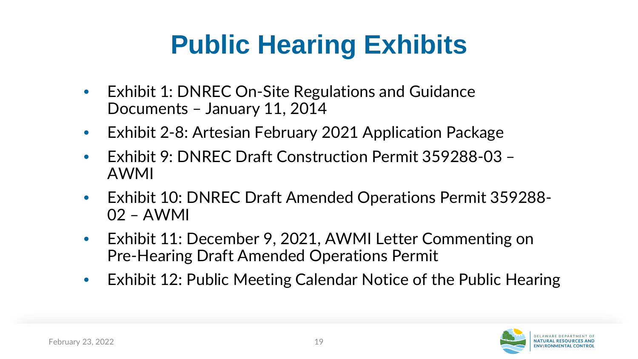## **Public Hearing Exhibits**

- Exhibit 1: DNREC On-Site Regulations and Guidance Documents – January 11, 2014
- Exhibit 2-8: Artesian February 2021 Application Package
- Exhibit 9: DNREC Draft Construction Permit 359288-03 AWMI
- Exhibit 10: DNREC Draft Amended Operations Permit 359288- 02 – AWMI
- Exhibit 11: December 9, 2021, AWMI Letter Commenting on Pre-Hearing Draft Amended Operations Permit
- Exhibit 12: Public Meeting Calendar Notice of the Public Hearing

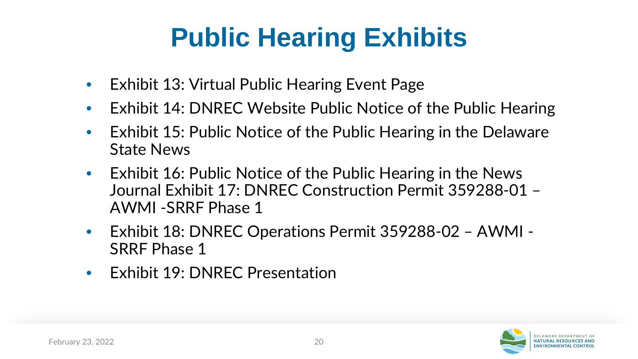## **Public Hearing Exhibits**

- Exhibit 13: Virtual Public Hearing Event Page
- Exhibit 14: DNREC Website Public Notice of the Public Hearing
- Exhibit 15: Public Notice of the Public Hearing in the Delaware State News
- Exhibit 16: Public Notice of the Public Hearing in the News Journal Exhibit 17: DNREC Construction Permit 359288-01 – AWMI -SRRF Phase 1
- Exhibit 18: DNREC Operations Permit 359288-02 AWMI SRRF Phase 1
- Exhibit 19: DNREC Presentation